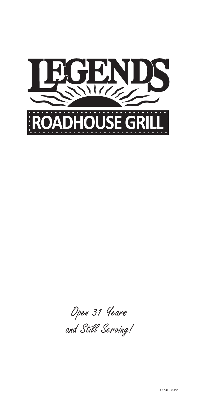

Open 31 Years and Still Serving!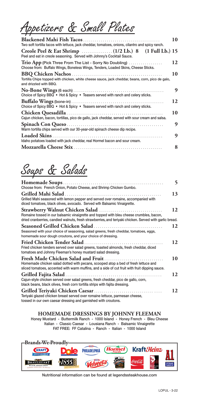Appetizers & Small Plates

| Two soft tortilla tacos with lettuce, jack cheddar, tomatoes, onions, cilantro and spicy ranch.                                              | 10 |
|----------------------------------------------------------------------------------------------------------------------------------------------|----|
| Peel and eat in creole seasoning. Served with Johnny's Cocktail Sauce.                                                                       |    |
| Trio App (Pick Three From The List - Sorry No Doubling)<br>Choose from: Buffalo Wings, Boneless Wings, Tenders, Loaded Skins, Cheese Sticks. | 12 |
| Tortilla Chips topped with chicken, white cheese sauce, jack cheddar, beans, corn, pico de galo,<br>and drizzled with BBQ.                   | 10 |
| Choice of Spicy BBQ • Hot & Spicy • Teasers served with ranch and celery sticks.                                                             | 9  |
| Choice of Spicy BBQ • Hot & Spicy • Teasers served with ranch and celery sticks.                                                             | 12 |
| Cajun chicken, bacon, tortillas, pico de gallo, jack cheddar, served with sour cream and salsa.                                              | 10 |
| Warm tortilla chips served with our 30-year-old spinach cheese dip recipe.                                                                   | 9  |
| Idaho potatoes loaded with jack cheddar, real Hormel bacon and sour cream.                                                                   | 9  |
|                                                                                                                                              | 8  |

# Soups & Salads

|                                                                                                                                                                                                                              | 5  |
|------------------------------------------------------------------------------------------------------------------------------------------------------------------------------------------------------------------------------|----|
| Choose from: French Onion, Potato Cheese, and Shrimp Chicken Gumbo.                                                                                                                                                          |    |
| Grilled Mahi Salad .<br>Grilled Mahi seasoned with lemon pepper and served over romaine, accompanied with<br>diced tomatoes, black olives, avocado. Served wth Balsamic Vinaigrette.                                         | 13 |
| Romaine tossed in our balsamic vinaigrette and topped with bleu cheese crumbles, bacon,<br>dried cranberries, candied walnuts, fresh strawberries, and teriyaki chicken. Served with garlic bread.                           | 12 |
| <b>Seasoned Grilled Chicken Salad</b><br>Seasoned with your choice of seasoning, salad greens, fresh cheddar, tomatoes, eggs,<br>homemade sour dough croutons, and your choice of dressing.                                  | 12 |
| Fried Chicken Tender Salad .<br>Fried chicken tenders served over salad greens, toasted almonds, fresh cheddar, diced<br>tomatoes and Johnny Fleeman's honey mustard salad dressing.                                         | 12 |
| Fresh Made Chicken Salad and Fruit .<br>Homemade chicken salad dotted with pecans, scooped atop a bed of fresh lettuce and<br>sliced tomatoes, accented with warm muffins, and a side of cut fruit with fruit dipping sauce. | 10 |
| Cajun-style chicken served over salad greens, fresh cheddar, pico de gallo, corn,<br>black beans, black olives, fresh corn tortilla strips with fajita dressing.                                                             | 12 |
| Teriyaki glazed chicken breast served over romaine lettuce, parmesan cheese,<br>tossed in our own caesar dressing and garnished with croutons.                                                                               | 12 |

### **HOMEMADE DRESSINGS BY JOHNNY FLEEMAN**

Honey Mustard - Buttermilk Ranch - 1000 Island - Honey French - Bleu Cheese Italian - Classic Caesar - Lousiana Ranch - Balsamic Vinaigrette FAT FREE: FF Catalina - Ranch - Italian - 1000 Island



Nutritional information can be found at legendssteakhouse.com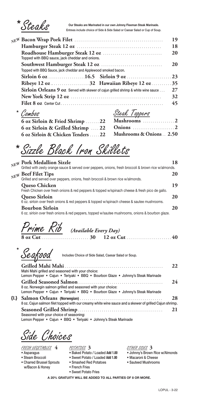Steaks

Our Steaks are Marinated in our own Johnny Fleeman Steak Marinade.<br>Entrees include choice of Side & Side Salad or Caesar Salad or Cup of Soup.

|                                                                                                   | 19 |
|---------------------------------------------------------------------------------------------------|----|
|                                                                                                   | 18 |
| Topped with BBQ sauce, jack cheddar and onions.                                                   | 20 |
|                                                                                                   | 20 |
| Topped with BBQ Sauce, jack cheddar and Applewood smoked bacon.                                   |    |
|                                                                                                   |    |
|                                                                                                   |    |
| <b>Sirloin Orleans 9 oz</b> Served with skewer of cajun grilled shrimp & white wine sauce $\dots$ | 27 |
|                                                                                                   | 32 |
|                                                                                                   | 45 |
|                                                                                                   |    |

**\*** 

| Combos                                                      | Steak Toppers |
|-------------------------------------------------------------|---------------|
| 6 oz Sirloin & Fried Shrimp  22 Mushrooms  2                |               |
|                                                             |               |
| 6 oz Sirloin & Chicken Tenders  22 Mushrooms & Onions  2.50 |               |

Sizzle Black Iron Skillets **\*** 

#### **Pork Medallion Sizzle 18** *NEW* Grilled with zesty orange sauce & served over peppers, onions, fresh broccoli & brown rice w/almonds. **Beef Filet Tips** 20<br> **Depression of the Company of the Company of the Company of the Company of the Company of the Company of the Company of the Company of the Company of the Company of the Company of the Company of the C** Grilled and served over peppers, onions, fresh broccoli & brown rice w/almonds. **Queso Chicken 19** Fresh Chicken over fresh onions & red peppers & topped w/spinach cheese & fresh pico de gallo. **Queso Sirloin 20** 6 oz. sirloin over fresh onions & red peppers & topped w/spinach cheese & sautee mushrooms. **Bourbon Sirloin 20** 6 oz. sirloin over fresh onions & red peppers, topped w/sautee mushrooms, onions & bourbon glaze.

| Prime Rib (Available Every Day) |  |  |
|---------------------------------|--|--|
|                                 |  |  |

Seafood **\***

Includes Choice of Side Salad, Caesar Salad or Soup.

|                                                                                                                                                 | 22. |
|-------------------------------------------------------------------------------------------------------------------------------------------------|-----|
| Mahi Mahi grilled and seasoned with your choice:                                                                                                |     |
| Lemon Pepper • Cajun • Teriyaki • BBQ • Bourbon Glaze • Johnny's Steak Marinade                                                                 |     |
| 8 oz. Norwegin salmon grilled and seasoned with your choice:<br>Lemon Pepper • Cajun • Teriyaki • BBQ • Bourbon Glaze • Johnny's Steak Marinade | 24  |
|                                                                                                                                                 | 28  |
| 8 oz. Cajun salmon filet topped with our creamy white wine sauce and a skewer of grilled Cajun shrimp.                                          |     |
|                                                                                                                                                 | 21  |
| Seasoned with your choice of seasoning:                                                                                                         |     |
| Lemon Pepper • Cajun • BBQ • Teriyaki • Johnny's Steak Marinade                                                                                 |     |

Side Choices

FRESH VEGETABLES **4**

• Asparagus

**{L}**

- Steam Broccoli
- Charred Brussel Sprouts w/Bacon & Honey
- POTATOES **3** • Baked Potato / Loaded **Add 1.00** • Sweet Potato / Loaded **Add 1.00** • Smashed Red Potatoes
- French Fries
- Sweet Potato Fries

#### OTHER SIDES **3**

- Johnny's Brown Rice w/Almonds
- Macaroni & Cheese
- Sauteed Mushrooms

**A 20% GRATUITY WILL BE ADDED TO ALL PARTIES OF 8 OR MORE.**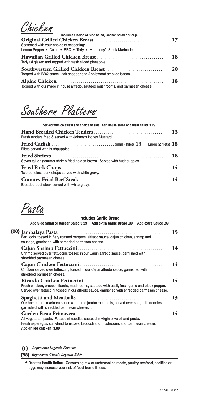Chicken

| Includes Choice of Side Salad, Caesar Salad or Soup.                           |    |
|--------------------------------------------------------------------------------|----|
|                                                                                | 17 |
| Seasoned with your choice of seasoning:                                        |    |
| Lemon Pepper · Cajun · BBQ · Teriyaki · Johnny's Steak Marinade                |    |
| Teriyaki glazed and topped with fresh sliced pineapple.                        | 18 |
| Topped with BBQ sauce, jack cheddar and Applewood smoked bacon.                | 20 |
| Topped with our made in house alfredo, sauteed mushrooms, and parmesan cheese. | 18 |

Southern Platters

| Served with coleslaw and choice of side. Add house salad or caesar salad 3.29. |    |
|--------------------------------------------------------------------------------|----|
| Fresh tenders fried & served with Johnny's Honey Mustard.                      | 13 |
| Large (2 filets) $18$<br>Filets served with hushpuppies.                       |    |
| Seven tail on gourmet shrimp fried golden brown. Served with hushpuppies.      | 18 |
| Two boneless pork chops served with white gravy.                               | 14 |
| Breaded beef steak served with white gravy.                                    | 14 |

Pasta

#### **Includes Garlic Bread Add Side Salad or Caesar Salad 3.29 Add extra Garlic Bread .99 Add extra Sauce .99 Jambalaya Pasta** . . . . . . . . . . . . . . . . . . . . . . . . . . . . . . . . . . . . . . . . . . . . . . . . . . . . . **15 {88}** Fettuccini tossed in fiery roasted peppers, alfredo sauce, cajun chicken, shrimp and sausage, garnished with shredded parmesan cheese. **Cajun Shrimp Fettuccini** . . . . . . . . . . . . . . . . . . . . . . . . . . . . . . . . . . . . . . . . . . . **14** Shrimp served over fettuccini, tossed in our Cajun alfredo sauce, garnished with shredded parmesan cheese. **Cajun Chicken Fettuccini** . . . . . . . . . . . . . . . . . . . . . . . . . . . . . . . . . . . . . . . . . . **14** Chicken served over fettuccini, tossed in our Cajun alfredo sauce, garnished with shredded parmesan cheese. **Ricardo Chicken Fettuccini** . . . . . . . . . . . . . . . . . . . . . . . . . . . . . . . . . . . . . . . . **14** Fresh chicken, broccoli florets, mushrooms, sauteed with basil, fresh garlic and black pepper. Served over fettuccini tossed in our alfredo sauce. garnished with shredded parmesan cheese. **Spaghetti and Meatballs** . . . . . . . . . . . . . . . . . . . . . . . . . . . . . . . . . . . . . . . . . . . . **13** Our homemade marinara sauce with three jumbo meatballs, served over spaghetti noodles, garnished with shredded parmesan cheese. ´ **Garden Pasta Primavera** . . . . . . . . . . . . . . . . . . . . . . . . . . . . . . . . . . . . . . . . . . . . **14** All vegetarian pasta. Fettuccini noodles sauteed in virgin olive oil and pesto. Fresh asparagus, sun-dried tomatoes, broccoli and mushrooms and parmesan cheese. **Add grilled chicken 3.00**

**{L}** *Represents Legends Favorite*

**{88}** *Represents Classic Legends Dish*

**Denotes Health Notice:** Consuming raw or undercooked meats, poultry, seafood, shellfish or **\*** eggs may increase your risk of food-borne illness.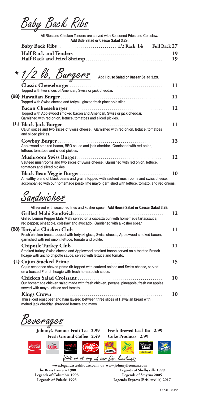Baby Back Ribs

All Ribs and Chicken Tenders are served with Seasoned Fries and Coleslaw. **Add Side Salad or Caesar Salad 3.29.**

| AYY JIYA YANAY VI YAGSAN YANAY JILIYI |  |  |  |
|---------------------------------------|--|--|--|
|                                       |  |  |  |
|                                       |  |  |  |
|                                       |  |  |  |

| * 1/2 lb. Burgers<br>Add House Salad or Caesar Salad 3.29.                                                                                 |    |
|--------------------------------------------------------------------------------------------------------------------------------------------|----|
| Topped with two slices of American, Swiss or jack cheddar.                                                                                 | 11 |
| Topped with Swiss cheese and teriyaki glazed fresh pineapple slice.                                                                        | 11 |
| Topped with Applewood smoked bacon and American, Swiss or jack cheddar.<br>Garnished with red onion, lettuce, tomatoes and sliced pickles. | 12 |
| Cajun spices and two slices of Swiss cheese Garnished with red onion, lettuce, tomatoes<br>and sliced pickles.                             | 11 |
| Applewood smoked bacon, BBQ sauce and jack cheddar. Garnished with red onion,<br>lettuce, tomatoes and sliced pickles.                     | 13 |
| Sauteed mushrooms and two slices of Swiss cheese. Garnished with red onion, lettuce,<br>tomatoes and sliced pickles.                       | 12 |
| A healthy blend of black beans and grains topped with sauteed mushrooms and swiss cheese,                                                  | 10 |

accompanied with our homemade pesto lime mayo, garnished with lettuce, tomato, and red onions.

Sandwiches

| All served with seasoned fries and kosher spear. Add House Salad or Caesar Salad 3.29.                                                                              |    |
|---------------------------------------------------------------------------------------------------------------------------------------------------------------------|----|
| Grilled Lemon Pepper Mahi Mahi served on a ciabatta bun with homemade tartar, sauce,<br>red pepper, pineapple, coleslaw and avocado. Garnished with a kosher spear. | 12 |
| Fresh chicken breast topped with teriyaki glaze, Swiss cheese, Applewood smoked bacon,<br>garnished with red onion, lettuce, tomato and pickle.                     | 11 |
| Smoked turkey, Swiss cheese and Applewood smoked bacon served on a toasted French<br>hoagie with ancho chipotle sauce, served with lettuce and tomato.              | 11 |
| Cajun seasoned shaved prime rib topped with sauteed onions and Swiss cheese, served<br>on a toasted French hoagie with fresh horseradish sauce.                     | 15 |
| Our homemade chicken salad made with fresh chicken, pecans, pineapple, fresh cut apples,<br>served with mayo, lettuce and tomato.                                   | 10 |
| Thin sliced roast beef and ham layered between three slices of Hawaiian bread with<br>melted jack cheddar, shredded lettuce and mayo.                               | 10 |

Beverages

 $\mathbf{C}^{\mathcal{D}iet}_{\mathbf{O}}$ 

**Johnny's Famous Fruit Tea 2.99 Fresh Brewed Iced Tea 2.99 Fresh Ground Coffee 2.49 Coke Products 2.99**

Minut<br>Maid

Visit us at any of our fine locations:

CRC

FLASHING

**www.legendssteakhouse.com or www.johnnyfleeman.com The Brass Lantern 1988 Legends of Columbia 1993 Legends of Pulaski 1996 Legends of Shelbyville 1999 Legends of Smyrna 2005 Legends Express (Brisketville) 2017**